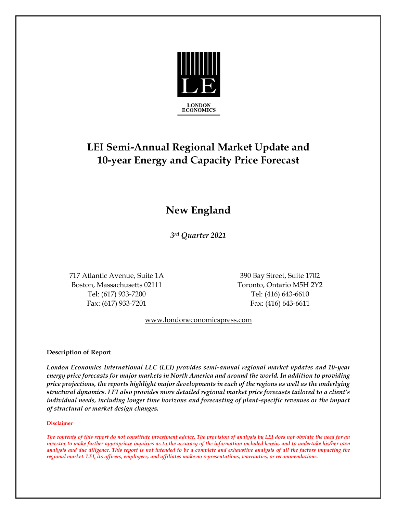

# **LEI Semi-Annual Regional Market Update and 10-year Energy and Capacity Price Forecast**

## **New England**

*3rd Quarter 2021*

717 Atlantic Avenue, Suite 1A 390 Bay Street, Suite 1702 Boston, Massachusetts 02111 Toronto, Ontario M5H 2Y2 Tel: (617) 933-7200 Tel: (416) 643-6610 Fax: (617) 933-7201 Fax: (416) 643-6611

www.londoneconomicspress.com

#### **Description of Report**

*London Economics International LLC (LEI) provides semi-annual regional market updates and 10-year energy price forecasts for major markets in North America and around the world. In addition to providing price projections, the reports highlight major developments in each of the regions as well as the underlying structural dynamics. LEI also provides more detailed regional market price forecasts tailored to a client's individual needs, including longer time horizons and forecasting of plant-specific revenues or the impact of structural or market design changes.*

#### **Disclaimer**

*The contents of this report do not constitute investment advice. The provision of analysis by LEI does not obviate the need for an investor to make further appropriate inquiries as to the accuracy of the information included herein, and to undertake his/her own analysis and due diligence. This report is not intended to be a complete and exhaustive analysis of all the factors impacting the regional market. LEI, its officers, employees, and affiliates make no representations, warranties, or recommendations.*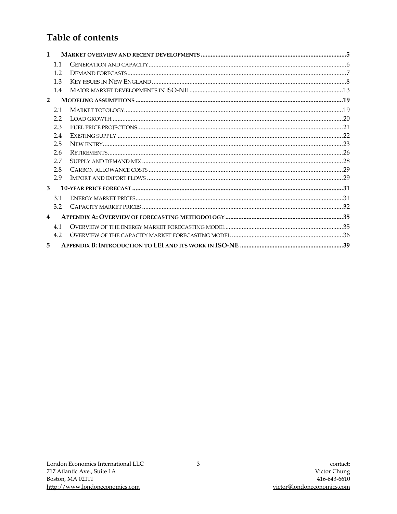### Table of contents

| $\mathbf{1}$   |     |  |
|----------------|-----|--|
|                | 11  |  |
|                | 1.2 |  |
|                | 1.3 |  |
|                | 1.4 |  |
| $\overline{2}$ |     |  |
|                | 2.1 |  |
|                | 2.2 |  |
|                | 2.3 |  |
|                | 2.4 |  |
|                | 2.5 |  |
|                | 2.6 |  |
|                | 2.7 |  |
|                | 2.8 |  |
|                | 2.9 |  |
| 3              |     |  |
|                | 3.1 |  |
|                | 3.2 |  |
| 4              |     |  |
|                | 4.1 |  |
|                | 4.2 |  |
| 5              |     |  |